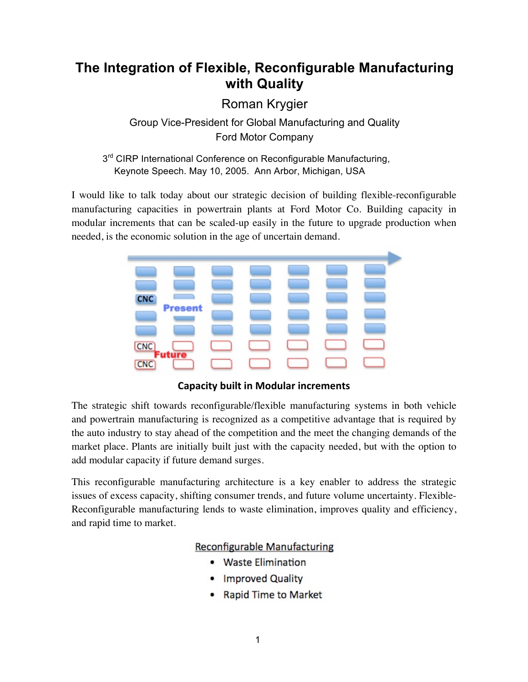# **The Integration of Flexible, Reconfigurable Manufacturing with Quality**

Roman Krygier

Group Vice-President for Global Manufacturing and Quality Ford Motor Company

3<sup>rd</sup> CIRP International Conference on Reconfigurable Manufacturing, Keynote Speech. May 10, 2005. Ann Arbor, Michigan, USA

I would like to talk today about our strategic decision of building flexible-reconfigurable manufacturing capacities in powertrain plants at Ford Motor Co. Building capacity in modular increments that can be scaled-up easily in the future to upgrade production when needed, is the economic solution in the age of uncertain demand.



**Capacity built in Modular increments** 

The strategic shift towards reconfigurable/flexible manufacturing systems in both vehicle and powertrain manufacturing is recognized as a competitive advantage that is required by the auto industry to stay ahead of the competition and the meet the changing demands of the market place. Plants are initially built just with the capacity needed, but with the option to add modular capacity if future demand surges.

This reconfigurable manufacturing architecture is a key enabler to address the strategic issues of excess capacity, shifting consumer trends, and future volume uncertainty. Flexible-Reconfigurable manufacturing lends to waste elimination, improves quality and efficiency, and rapid time to market.

## **Reconfigurable Manufacturing**

- Waste Elimination
- Improved Quality
- Rapid Time to Market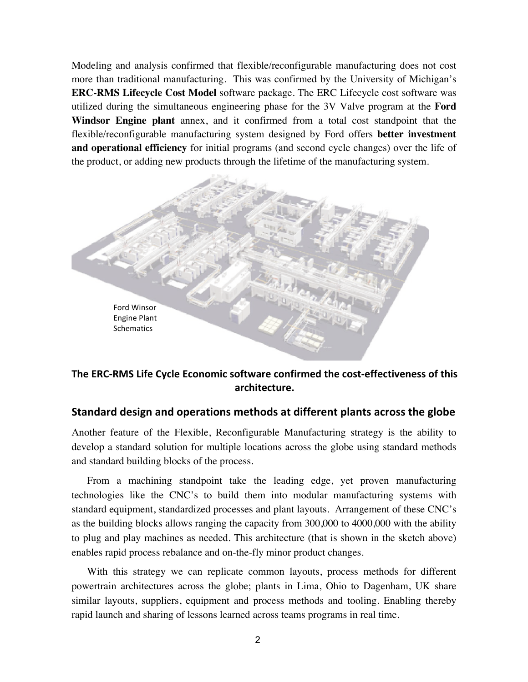Modeling and analysis confirmed that flexible/reconfigurable manufacturing does not cost more than traditional manufacturing. This was confirmed by the University of Michigan's **ERC-RMS Lifecycle Cost Model** software package. The ERC Lifecycle cost software was utilized during the simultaneous engineering phase for the 3V Valve program at the **Ford Windsor Engine plant** annex, and it confirmed from a total cost standpoint that the flexible/reconfigurable manufacturing system designed by Ford offers **better investment and operational efficiency** for initial programs (and second cycle changes) over the life of the product, or adding new products through the lifetime of the manufacturing system.



The ERC-RMS Life Cycle Economic software confirmed the cost-effectiveness of this **architecture.**

### **Standard design and operations methods at different plants across the globe**

Another feature of the Flexible, Reconfigurable Manufacturing strategy is the ability to develop a standard solution for multiple locations across the globe using standard methods and standard building blocks of the process.

From a machining standpoint take the leading edge, yet proven manufacturing technologies like the CNC's to build them into modular manufacturing systems with standard equipment, standardized processes and plant layouts. Arrangement of these CNC's as the building blocks allows ranging the capacity from 300,000 to 4000,000 with the ability to plug and play machines as needed. This architecture (that is shown in the sketch above) enables rapid process rebalance and on-the-fly minor product changes.

With this strategy we can replicate common layouts, process methods for different powertrain architectures across the globe; plants in Lima, Ohio to Dagenham, UK share similar layouts, suppliers, equipment and process methods and tooling. Enabling thereby rapid launch and sharing of lessons learned across teams programs in real time.